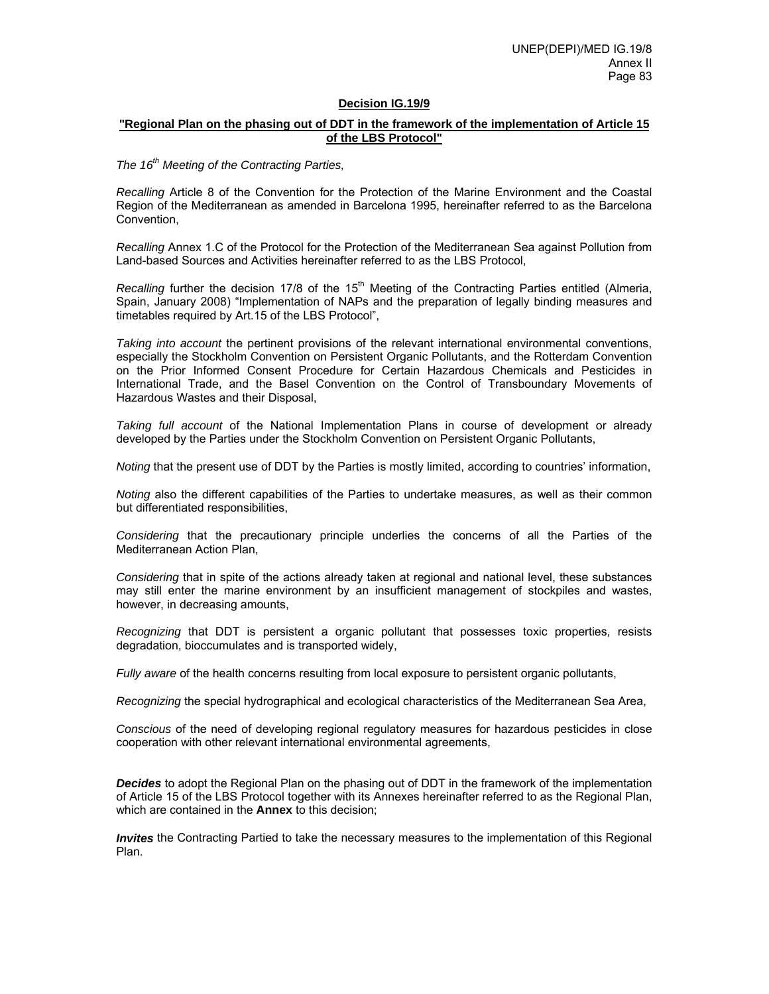#### **Decision IG.19/9**

### **"Regional Plan on the phasing out of DDT in the framework of the implementation of Article 15 of the LBS Protocol"**

## *The 16th Meeting of the Contracting Parties,*

*Recalling* Article 8 of the Convention for the Protection of the Marine Environment and the Coastal Region of the Mediterranean as amended in Barcelona 1995, hereinafter referred to as the Barcelona Convention,

*Recalling* Annex 1.C of the Protocol for the Protection of the Mediterranean Sea against Pollution from Land-based Sources and Activities hereinafter referred to as the LBS Protocol,

*Recalling further the decision 17/8 of the 15<sup>th</sup> Meeting of the Contracting Parties entitled (Almeria,* Spain, January 2008) "Implementation of NAPs and the preparation of legally binding measures and timetables required by Art.15 of the LBS Protocol",

*Taking into account* the pertinent provisions of the relevant international environmental conventions, especially the Stockholm Convention on Persistent Organic Pollutants, and the Rotterdam Convention on the Prior Informed Consent Procedure for Certain Hazardous Chemicals and Pesticides in International Trade, and the Basel Convention on the Control of Transboundary Movements of Hazardous Wastes and their Disposal,

*Taking full account* of the National Implementation Plans in course of development or already developed by the Parties under the Stockholm Convention on Persistent Organic Pollutants,

*Noting* that the present use of DDT by the Parties is mostly limited, according to countries' information,

*Noting* also the different capabilities of the Parties to undertake measures, as well as their common but differentiated responsibilities,

*Considering* that the precautionary principle underlies the concerns of all the Parties of the Mediterranean Action Plan,

*Considering* that in spite of the actions already taken at regional and national level, these substances may still enter the marine environment by an insufficient management of stockpiles and wastes, however, in decreasing amounts,

*Recognizing* that DDT is persistent a organic pollutant that possesses toxic properties, resists degradation, bioccumulates and is transported widely,

*Fully aware* of the health concerns resulting from local exposure to persistent organic pollutants,

*Recognizing* the special hydrographical and ecological characteristics of the Mediterranean Sea Area,

*Conscious* of the need of developing regional regulatory measures for hazardous pesticides in close cooperation with other relevant international environmental agreements,

*Decides* to adopt the Regional Plan on the phasing out of DDT in the framework of the implementation of Article 15 of the LBS Protocol together with its Annexes hereinafter referred to as the Regional Plan, which are contained in the **Annex** to this decision;

*Invites* the Contracting Partied to take the necessary measures to the implementation of this Regional Plan.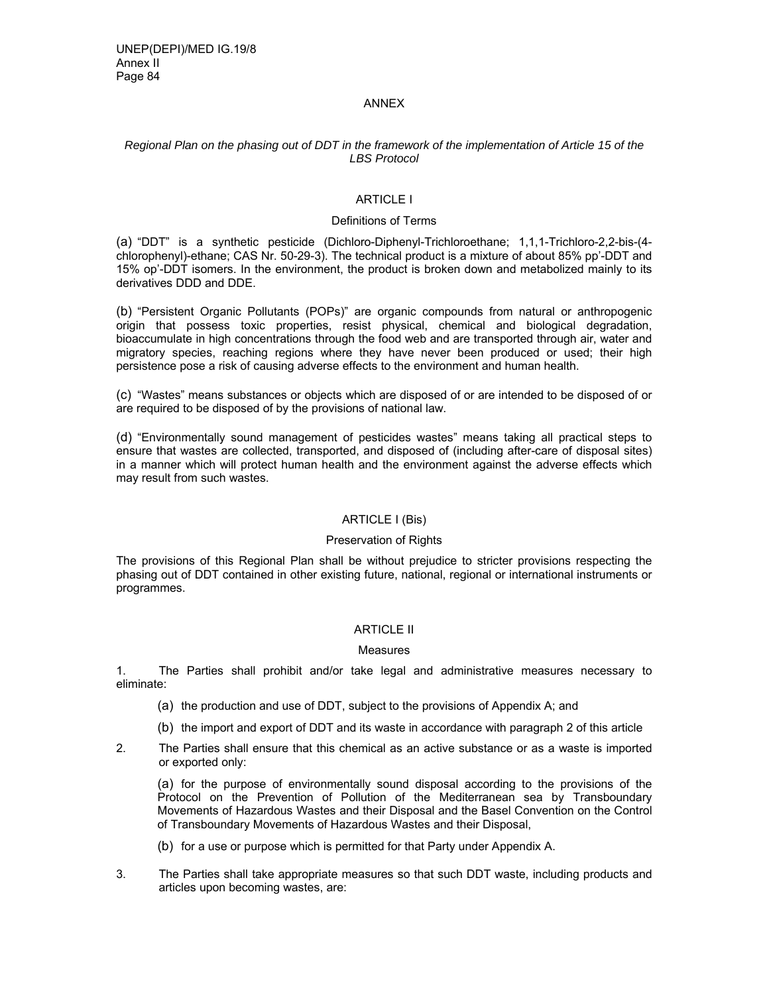#### ANNEX

### *Regional Plan on the phasing out of DDT in the framework of the implementation of Article 15 of the LBS Protocol*

# ARTICLE I

### Definitions of Terms

(a) "DDT" is a synthetic pesticide (Dichloro-Diphenyl-Trichloroethane; 1,1,1-Trichloro-2,2-bis-(4 chlorophenyl)-ethane; CAS Nr. 50-29-3). The technical product is a mixture of about 85% pp'-DDT and 15% op'-DDT isomers. In the environment, the product is broken down and metabolized mainly to its derivatives DDD and DDE.

(b) "Persistent Organic Pollutants (POPs)" are organic compounds from natural or anthropogenic origin that possess toxic properties, resist physical, chemical and biological degradation, bioaccumulate in high concentrations through the food web and are transported through air, water and migratory species, reaching regions where they have never been produced or used; their high persistence pose a risk of causing adverse effects to the environment and human health.

(c) "Wastes" means substances or objects which are disposed of or are intended to be disposed of or are required to be disposed of by the provisions of national law.

(d) "Environmentally sound management of pesticides wastes" means taking all practical steps to ensure that wastes are collected, transported, and disposed of (including after-care of disposal sites) in a manner which will protect human health and the environment against the adverse effects which may result from such wastes.

### ARTICLE I (Bis)

#### Preservation of Rights

The provisions of this Regional Plan shall be without prejudice to stricter provisions respecting the phasing out of DDT contained in other existing future, national, regional or international instruments or programmes.

#### ARTICLE II

#### **Measures**

1. The Parties shall prohibit and/or take legal and administrative measures necessary to eliminate:

- (a) the production and use of DDT, subject to the provisions of Appendix A; and
- (b) the import and export of DDT and its waste in accordance with paragraph 2 of this article
- 2. The Parties shall ensure that this chemical as an active substance or as a waste is imported or exported only:

(a) for the purpose of environmentally sound disposal according to the provisions of the Protocol on the Prevention of Pollution of the Mediterranean sea by Transboundary Movements of Hazardous Wastes and their Disposal and the Basel Convention on the Control of Transboundary Movements of Hazardous Wastes and their Disposal,

- (b) for a use or purpose which is permitted for that Party under Appendix A.
- 3. The Parties shall take appropriate measures so that such DDT waste, including products and articles upon becoming wastes, are: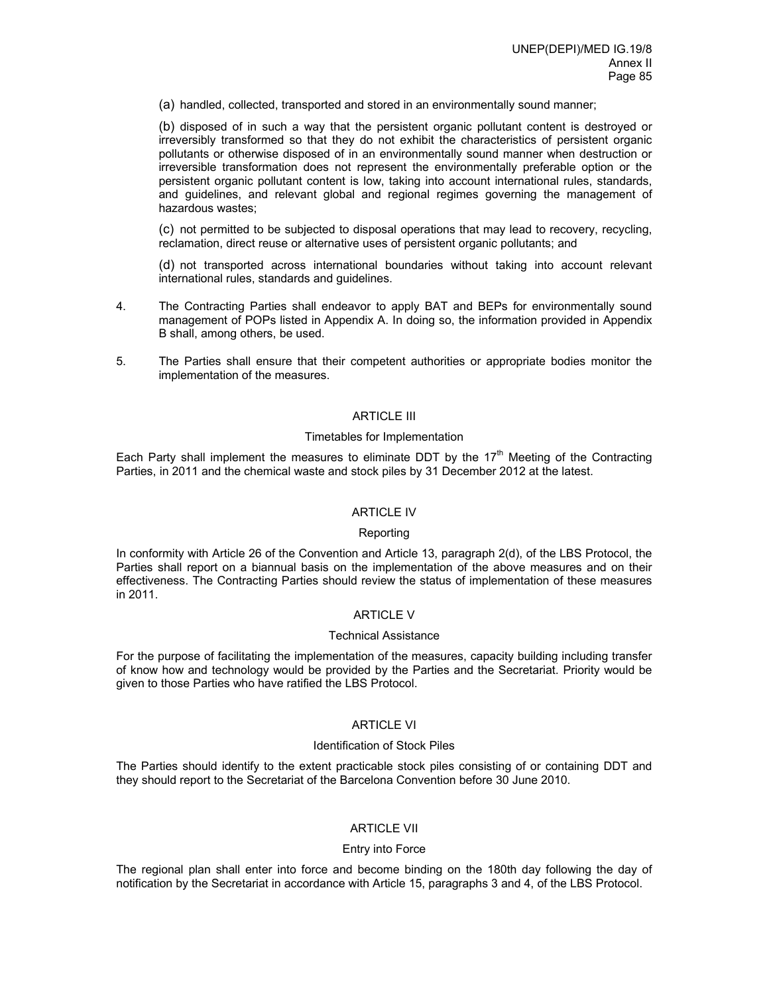(a) handled, collected, transported and stored in an environmentally sound manner;

(b) disposed of in such a way that the persistent organic pollutant content is destroyed or irreversibly transformed so that they do not exhibit the characteristics of persistent organic pollutants or otherwise disposed of in an environmentally sound manner when destruction or irreversible transformation does not represent the environmentally preferable option or the persistent organic pollutant content is low, taking into account international rules, standards, and guidelines, and relevant global and regional regimes governing the management of hazardous wastes;

(c) not permitted to be subjected to disposal operations that may lead to recovery, recycling, reclamation, direct reuse or alternative uses of persistent organic pollutants; and

(d) not transported across international boundaries without taking into account relevant international rules, standards and guidelines.

- 4. The Contracting Parties shall endeavor to apply BAT and BEPs for environmentally sound management of POPs listed in Appendix A. In doing so, the information provided in Appendix B shall, among others, be used.
- 5. The Parties shall ensure that their competent authorities or appropriate bodies monitor the implementation of the measures.

#### ARTICLE III

#### Timetables for Implementation

Each Party shall implement the measures to eliminate DDT by the 17<sup>th</sup> Meeting of the Contracting Parties, in 2011 and the chemical waste and stock piles by 31 December 2012 at the latest.

#### ARTICLE IV

#### Reporting

In conformity with Article 26 of the Convention and Article 13, paragraph 2(d), of the LBS Protocol, the Parties shall report on a biannual basis on the implementation of the above measures and on their effectiveness. The Contracting Parties should review the status of implementation of these measures in 2011.

### ARTICLE V

#### Technical Assistance

For the purpose of facilitating the implementation of the measures, capacity building including transfer of know how and technology would be provided by the Parties and the Secretariat. Priority would be given to those Parties who have ratified the LBS Protocol.

#### ARTICLE VI

#### Identification of Stock Piles

The Parties should identify to the extent practicable stock piles consisting of or containing DDT and they should report to the Secretariat of the Barcelona Convention before 30 June 2010.

### ARTICLE VII

# Entry into Force

The regional plan shall enter into force and become binding on the 180th day following the day of notification by the Secretariat in accordance with Article 15, paragraphs 3 and 4, of the LBS Protocol.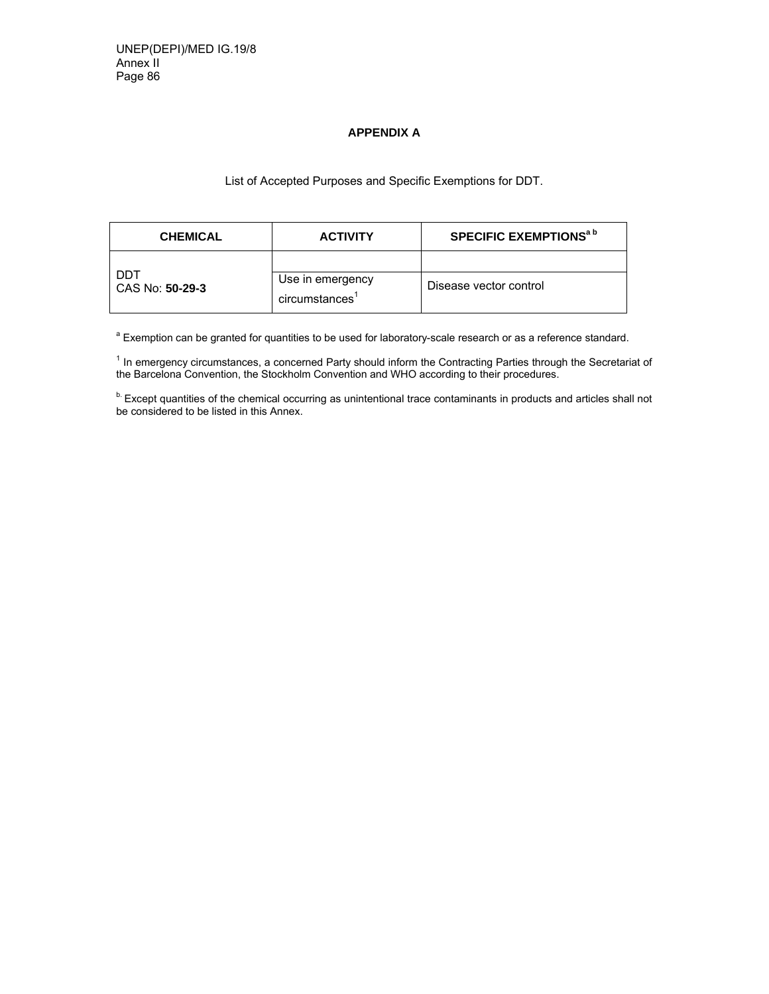## **APPENDIX A**

# List of Accepted Purposes and Specific Exemptions for DDT.

| <b>CHEMICAL</b>                 | <b>ACTIVITY</b>                   | SPECIFIC EXEMPTIONS <sup>a b</sup> |
|---------------------------------|-----------------------------------|------------------------------------|
|                                 |                                   |                                    |
| DDT<br>  CAS No: <b>50-29-3</b> | Use in emergency<br>circumstances | Disease vector control             |

<sup>a</sup> Exemption can be granted for quantities to be used for laboratory-scale research or as a reference standard.

<sup>1</sup> In emergency circumstances, a concerned Party should inform the Contracting Parties through the Secretariat of the Barcelona Convention, the Stockholm Convention and WHO according to their procedures.

<sup>b.</sup> Except quantities of the chemical occurring as unintentional trace contaminants in products and articles shall not be considered to be listed in this Annex.